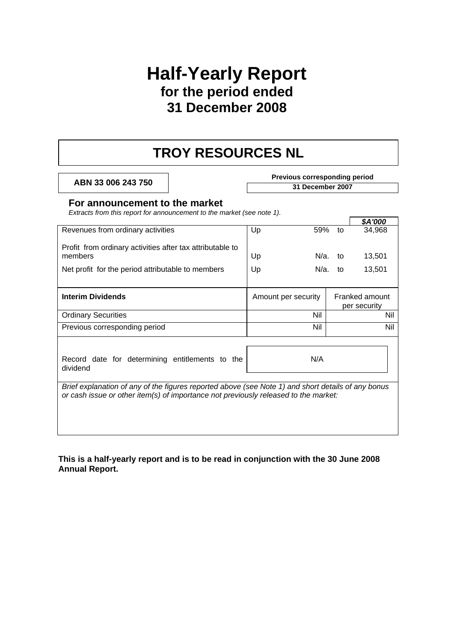### **Half-Yearly Report for the period ended 31 December 2008**

## **TROY RESOURCES NL**

**Previous corresponding period**<br> **Previous corresponding period**<br>
31 December 2007

#### **For announcement to the market**

*Extracts from this report for announcement to the market (see note 1).* 

|                                                                                                                                                                                           |                     |            | \$A'000                        |
|-------------------------------------------------------------------------------------------------------------------------------------------------------------------------------------------|---------------------|------------|--------------------------------|
| Revenues from ordinary activities                                                                                                                                                         | Up<br>59%           | to         | 34,968                         |
| Profit from ordinary activities after tax attributable to<br>members                                                                                                                      | Up                  | $N/a$ . to | 13,501                         |
| Net profit for the period attributable to members                                                                                                                                         | Up                  | $N/a$ . to | 13,501                         |
|                                                                                                                                                                                           |                     |            |                                |
| <b>Interim Dividends</b>                                                                                                                                                                  | Amount per security |            | Franked amount<br>per security |
| <b>Ordinary Securities</b>                                                                                                                                                                | Nil                 |            | Nil                            |
| Previous corresponding period                                                                                                                                                             | Nil                 |            | Nil                            |
| Record date for determining entitlements to the<br>dividend                                                                                                                               | N/A                 |            |                                |
| Brief explanation of any of the figures reported above (see Note 1) and short details of any bonus<br>or cash issue or other item(s) of importance not previously released to the market: |                     |            |                                |

**This is a half-yearly report and is to be read in conjunction with the 30 June 2008 Annual Report.**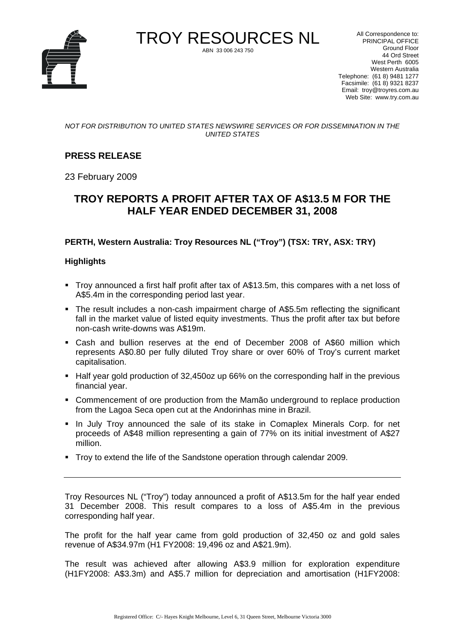

TROY RESOURCES NL ABN 33 006 243 750

All Correspondence to: PRINCIPAL OFFICE Ground Floor 44 Ord Street West Perth 6005 Western Australia Telephone: (61 8) 9481 1277 Facsimile: (61 8) 9321 8237 Email: troy@troyres.com.au Web Site: www.try.com.au

*NOT FOR DISTRIBUTION TO UNITED STATES NEWSWIRE SERVICES OR FOR DISSEMINATION IN THE UNITED STATES* 

#### **PRESS RELEASE**

23 February 2009

#### **TROY REPORTS A PROFIT AFTER TAX OF A\$13.5 M FOR THE HALF YEAR ENDED DECEMBER 31, 2008**

#### **PERTH, Western Australia: Troy Resources NL ("Troy") (TSX: TRY, ASX: TRY)**

#### **Highlights**

- Troy announced a first half profit after tax of A\$13.5m, this compares with a net loss of A\$5.4m in the corresponding period last year.
- The result includes a non-cash impairment charge of A\$5.5m reflecting the significant fall in the market value of listed equity investments. Thus the profit after tax but before non-cash write-downs was A\$19m.
- Cash and bullion reserves at the end of December 2008 of A\$60 million which represents A\$0.80 per fully diluted Troy share or over 60% of Troy's current market capitalisation.
- Half year gold production of 32,450oz up 66% on the corresponding half in the previous financial year.
- Commencement of ore production from the Mamão underground to replace production from the Lagoa Seca open cut at the Andorinhas mine in Brazil.
- In July Troy announced the sale of its stake in Comaplex Minerals Corp. for net proceeds of A\$48 million representing a gain of 77% on its initial investment of A\$27 million.
- Troy to extend the life of the Sandstone operation through calendar 2009.

Troy Resources NL ("Troy") today announced a profit of A\$13.5m for the half year ended 31 December 2008. This result compares to a loss of A\$5.4m in the previous corresponding half year.

The profit for the half year came from gold production of 32,450 oz and gold sales revenue of A\$34.97m (H1 FY2008: 19,496 oz and A\$21.9m).

The result was achieved after allowing A\$3.9 million for exploration expenditure (H1FY2008: A\$3.3m) and A\$5.7 million for depreciation and amortisation (H1FY2008: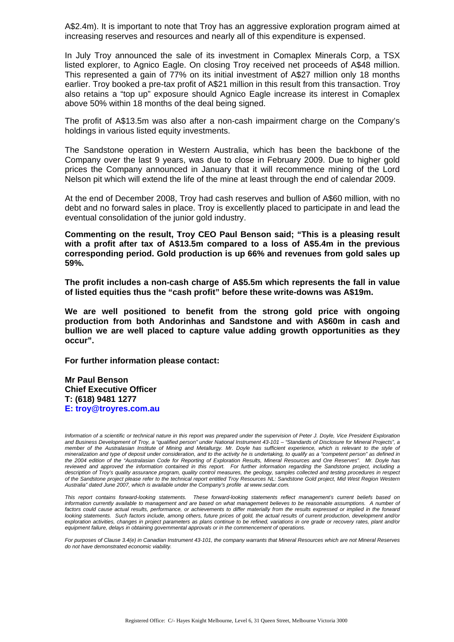A\$2.4m). It is important to note that Troy has an aggressive exploration program aimed at increasing reserves and resources and nearly all of this expenditure is expensed.

In July Troy announced the sale of its investment in Comaplex Minerals Corp, a TSX listed explorer, to Agnico Eagle. On closing Troy received net proceeds of A\$48 million. This represented a gain of 77% on its initial investment of A\$27 million only 18 months earlier. Troy booked a pre-tax profit of A\$21 million in this result from this transaction. Troy also retains a "top up" exposure should Agnico Eagle increase its interest in Comaplex above 50% within 18 months of the deal being signed.

The profit of A\$13.5m was also after a non-cash impairment charge on the Company's holdings in various listed equity investments.

The Sandstone operation in Western Australia, which has been the backbone of the Company over the last 9 years, was due to close in February 2009. Due to higher gold prices the Company announced in January that it will recommence mining of the Lord Nelson pit which will extend the life of the mine at least through the end of calendar 2009.

At the end of December 2008, Troy had cash reserves and bullion of A\$60 million, with no debt and no forward sales in place. Troy is excellently placed to participate in and lead the eventual consolidation of the junior gold industry.

**Commenting on the result, Troy CEO Paul Benson said; "This is a pleasing result with a profit after tax of A\$13.5m compared to a loss of A\$5.4m in the previous corresponding period. Gold production is up 66% and revenues from gold sales up 59%.** 

**The profit includes a non-cash charge of A\$5.5m which represents the fall in value of listed equities thus the "cash profit" before these write-downs was A\$19m.** 

**We are well positioned to benefit from the strong gold price with ongoing production from both Andorinhas and Sandstone and with A\$60m in cash and bullion we are well placed to capture value adding growth opportunities as they occur".** 

**For further information please contact:** 

**Mr Paul Benson Chief Executive Officer T: (618) 9481 1277 E: troy@troyres.com.au** 

Information of a scientific or technical nature in this report was prepared under the supervision of Peter J. Doyle, Vice President Exploration *and Business Development of Troy, a "qualified person" under National Instrument 43-101 – "Standards of Disclosure for Mineral Projects", a*  member of the Australasian Institute of Mining and Metallurgy. Mr. Doyle has sufficient experience, which is relevant to the style of *mineralization and type of deposit under consideration, and to the activity he is undertaking, to qualify as a "competent person" as defined in the 2004 edition of the "Australasian Code for Reporting of Exploration Results, Mineral Resources and Ore Reserves". Mr. Doyle has reviewed and approved the information contained in this report. For further information regarding the Sandstone project, including a description of Troy's quality assurance program, quality control measures, the geology, samples collected and testing procedures in respect of the Sandstone project please refer to the technical report entitled Troy Resources NL: Sandstone Gold project, Mid West Region Western Australia" dated June 2007, which is available under the Company's profile at www.sedar.com.* 

*This report contains forward-looking statements. These forward-looking statements reflect management's current beliefs based on*  information currently available to management and are based on what management believes to be reasonable assumptions. A number of factors could cause actual results, performance, or achievements to differ materially from the results expressed or implied in the forward looking statements. Such factors include, among others, future prices of gold, the actual results of current production, development and/or *exploration activities, changes in project parameters as plans continue to be refined, variations in ore grade or recovery rates, plant and/or equipment failure, delays in obtaining governmental approvals or in the commencement of operations.* 

*For purposes of Clause 3.4(e) in Canadian Instrument 43-101, the company warrants that Mineral Resources which are not Mineral Reserves do not have demonstrated economic viability.*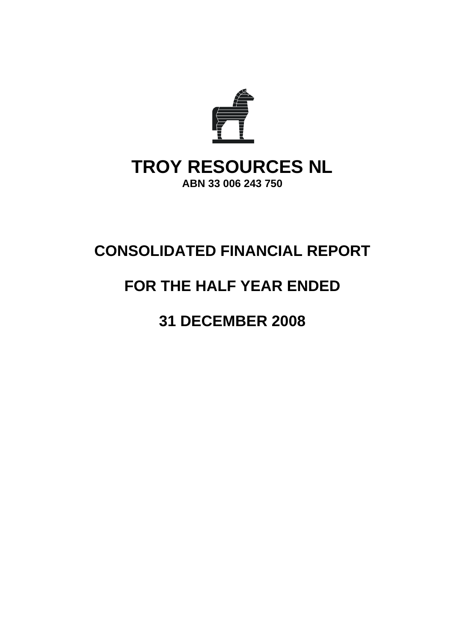

## **CONSOLIDATED FINANCIAL REPORT**

## **FOR THE HALF YEAR ENDED**

## **31 DECEMBER 2008**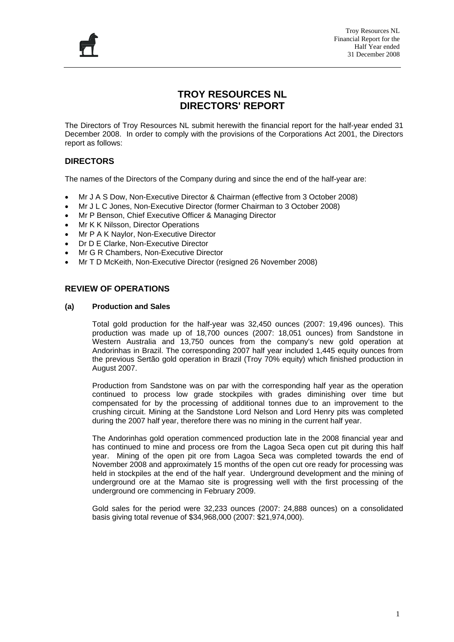

#### **TROY RESOURCES NL DIRECTORS' REPORT**

The Directors of Troy Resources NL submit herewith the financial report for the half-year ended 31 December 2008. In order to comply with the provisions of the Corporations Act 2001, the Directors report as follows:

#### **DIRECTORS**

The names of the Directors of the Company during and since the end of the half-year are:

- Mr J A S Dow, Non-Executive Director & Chairman (effective from 3 October 2008)
- Mr J L C Jones, Non-Executive Director (former Chairman to 3 October 2008)
- Mr P Benson, Chief Executive Officer & Managing Director
- Mr K K Nilsson, Director Operations
- Mr P A K Naylor, Non-Executive Director
- Dr D E Clarke, Non-Executive Director
- Mr G R Chambers, Non-Executive Director
- Mr T D McKeith, Non-Executive Director (resigned 26 November 2008)

#### **REVIEW OF OPERATIONS**

#### **(a) Production and Sales**

Total gold production for the half-year was 32,450 ounces (2007: 19,496 ounces). This production was made up of 18,700 ounces (2007: 18,051 ounces) from Sandstone in Western Australia and 13,750 ounces from the company's new gold operation at Andorinhas in Brazil. The corresponding 2007 half year included 1,445 equity ounces from the previous Sertão gold operation in Brazil (Troy 70% equity) which finished production in August 2007.

Production from Sandstone was on par with the corresponding half year as the operation continued to process low grade stockpiles with grades diminishing over time but compensated for by the processing of additional tonnes due to an improvement to the crushing circuit. Mining at the Sandstone Lord Nelson and Lord Henry pits was completed during the 2007 half year, therefore there was no mining in the current half year.

The Andorinhas gold operation commenced production late in the 2008 financial year and has continued to mine and process ore from the Lagoa Seca open cut pit during this half year. Mining of the open pit ore from Lagoa Seca was completed towards the end of November 2008 and approximately 15 months of the open cut ore ready for processing was held in stockpiles at the end of the half year. Underground development and the mining of underground ore at the Mamao site is progressing well with the first processing of the underground ore commencing in February 2009.

Gold sales for the period were 32,233 ounces (2007: 24,888 ounces) on a consolidated basis giving total revenue of \$34,968,000 (2007: \$21,974,000).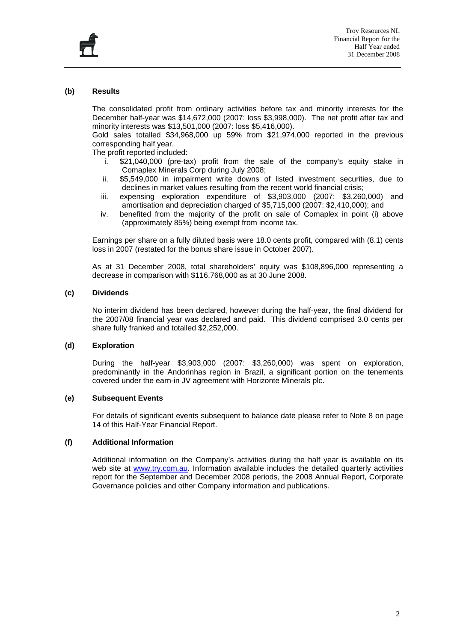

#### **(b) Results**

The consolidated profit from ordinary activities before tax and minority interests for the December half-year was \$14,672,000 (2007: loss \$3,998,000). The net profit after tax and minority interests was \$13,501,000 (2007: loss \$5,416,000).

Gold sales totalled \$34,968,000 up 59% from \$21,974,000 reported in the previous corresponding half year.

The profit reported included:

- i. \$21,040,000 (pre-tax) profit from the sale of the company's equity stake in Comaplex Minerals Corp during July 2008;
- ii. \$5,549,000 in impairment write downs of listed investment securities, due to declines in market values resulting from the recent world financial crisis;
- iii. expensing exploration expenditure of \$3,903,000 (2007: \$3,260,000) and amortisation and depreciation charged of \$5,715,000 (2007: \$2,410,000); and
- iv. benefited from the majority of the profit on sale of Comaplex in point (i) above (approximately 85%) being exempt from income tax.

Earnings per share on a fully diluted basis were 18.0 cents profit, compared with (8.1) cents loss in 2007 (restated for the bonus share issue in October 2007).

As at 31 December 2008, total shareholders' equity was \$108,896,000 representing a decrease in comparison with \$116,768,000 as at 30 June 2008.

#### **(c) Dividends**

No interim dividend has been declared, however during the half-year, the final dividend for the 2007/08 financial year was declared and paid. This dividend comprised 3.0 cents per share fully franked and totalled \$2,252,000.

#### **(d) Exploration**

During the half-year \$3,903,000 (2007: \$3,260,000) was spent on exploration, predominantly in the Andorinhas region in Brazil, a significant portion on the tenements covered under the earn-in JV agreement with Horizonte Minerals plc.

#### **(e) Subsequent Events**

For details of significant events subsequent to balance date please refer to Note 8 on page 14 of this Half-Year Financial Report.

#### **(f) Additional Information**

Additional information on the Company's activities during the half year is available on its web site at [www.try.com.au](http://www.try.com.au/). Information available includes the detailed quarterly activities report for the September and December 2008 periods, the 2008 Annual Report, Corporate Governance policies and other Company information and publications.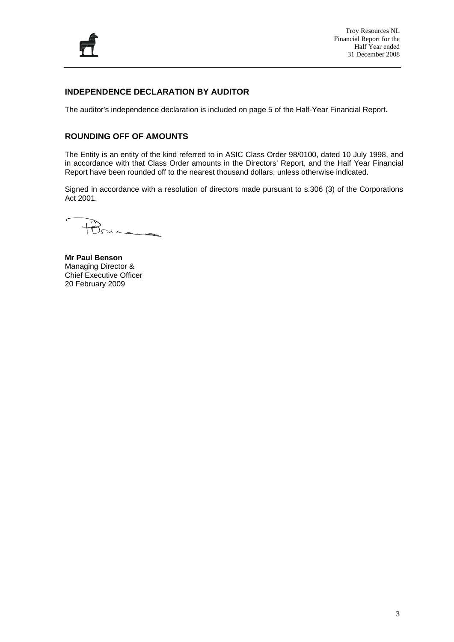

#### **INDEPENDENCE DECLARATION BY AUDITOR**

The auditor's independence declaration is included on page 5 of the Half-Year Financial Report.

#### **ROUNDING OFF OF AMOUNTS**

The Entity is an entity of the kind referred to in ASIC Class Order 98/0100, dated 10 July 1998, and in accordance with that Class Order amounts in the Directors' Report, and the Half Year Financial Report have been rounded off to the nearest thousand dollars, unless otherwise indicated.

Signed in accordance with a resolution of directors made pursuant to s.306 (3) of the Corporations Act 2001.

**Mr Paul Benson**  Managing Director & Chief Executive Officer 20 February 2009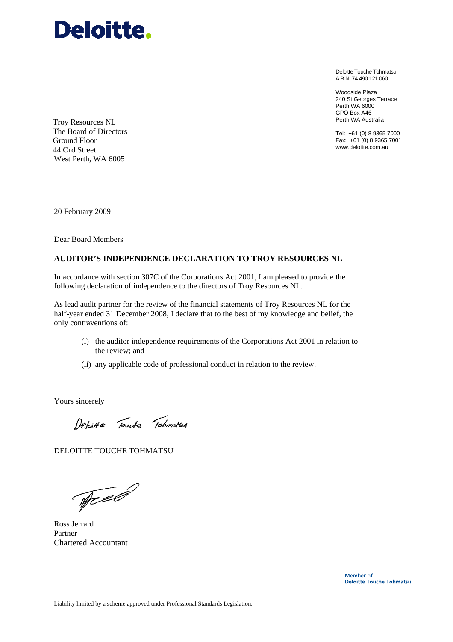

Deloitte Touche Tohmatsu A.B.N. 74 490 121 060

Woodside Plaza 240 St Georges Terrace Perth WA 6000 GPO Box A46 Perth WA Australia

Tel: +61 (0) 8 9365 7000 Fax: +61 (0) 8 9365 7001 www.deloitte.com.au

Troy Resources NL The Board of Directors Ground Floor 44 Ord Street West Perth, WA 6005

20 February 2009

Dear Board Members

#### **AUDITOR'S INDEPENDENCE DECLARATION TO TROY RESOURCES NL**

In accordance with section 307C of the Corporations Act 2001, I am pleased to provide the following declaration of independence to the directors of Troy Resources NL.

As lead audit partner for the review of the financial statements of Troy Resources NL for the half-year ended 31 December 2008, I declare that to the best of my knowledge and belief, the only contraventions of:

- (i) the auditor independence requirements of the Corporations Act 2001 in relation to the review; and
- (ii) any applicable code of professional conduct in relation to the review.

Yours sincerely

Deloitte Touche Tohmetsu

DELOITTE TOUCHE TOHMATSU

Tree

Ross Jerrard Partner Chartered Accountant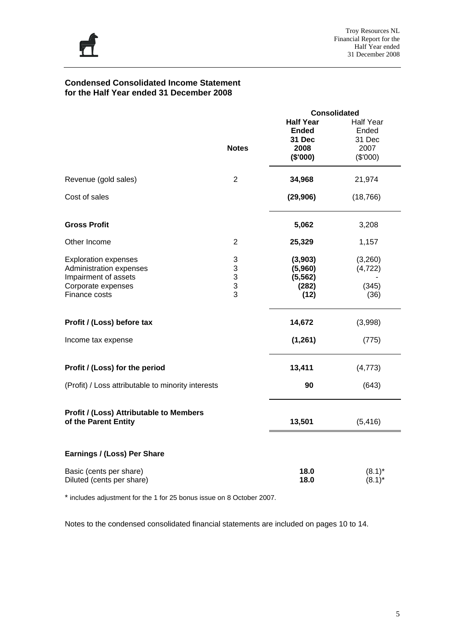

#### **Condensed Consolidated Income Statement for the Half Year ended 31 December 2008**

|                                                                                |                                     | <b>Consolidated</b>                        |                                     |
|--------------------------------------------------------------------------------|-------------------------------------|--------------------------------------------|-------------------------------------|
|                                                                                |                                     | <b>Half Year</b><br><b>Ended</b><br>31 Dec | <b>Half Year</b><br>Ended<br>31 Dec |
|                                                                                | <b>Notes</b>                        | 2008<br>(\$'000)                           | 2007<br>(\$'000)                    |
| Revenue (gold sales)                                                           | $\overline{2}$                      | 34,968                                     | 21,974                              |
| Cost of sales                                                                  |                                     | (29, 906)                                  | (18, 766)                           |
| <b>Gross Profit</b>                                                            |                                     | 5,062                                      | 3,208                               |
| Other Income                                                                   | 2                                   | 25,329                                     | 1,157                               |
| <b>Exploration expenses</b><br>Administration expenses<br>Impairment of assets | 3<br>3<br>$\ensuremath{\mathsf{3}}$ | (3,903)<br>(5,960)<br>(5, 562)             | (3,260)<br>(4, 722)                 |
| Corporate expenses<br>Finance costs                                            | 3<br>3                              | (282)<br>(12)                              | (345)<br>(36)                       |
| Profit / (Loss) before tax                                                     |                                     | 14,672                                     | (3,998)                             |
| Income tax expense                                                             |                                     | (1, 261)                                   | (775)                               |
| Profit / (Loss) for the period                                                 |                                     | 13,411                                     | (4, 773)                            |
| (Profit) / Loss attributable to minority interests                             |                                     | 90                                         | (643)                               |
| <b>Profit / (Loss) Attributable to Members</b><br>of the Parent Entity         |                                     | 13,501                                     | (5, 416)                            |
| Earnings / (Loss) Per Share                                                    |                                     |                                            |                                     |
| Basic (cents per share)<br>Diluted (cents per share)                           |                                     | 18.0<br>18.0                               | $(8.1)^*$<br>$(8.1)^*$              |

\* includes adjustment for the 1 for 25 bonus issue on 8 October 2007.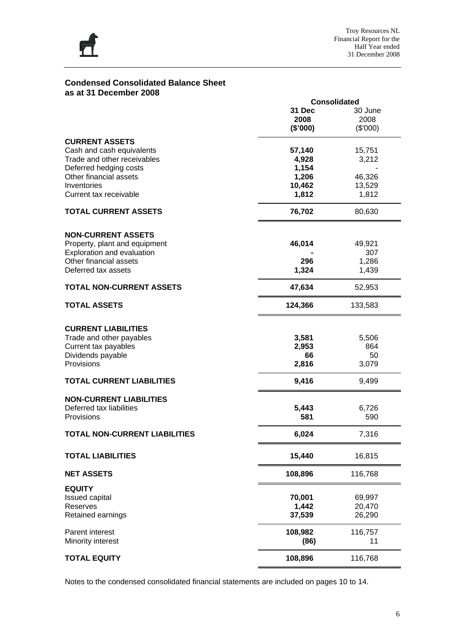

#### **Condensed Consolidated Balance Sheet as at 31 December 2008**

|                                      |          | <b>Consolidated</b> |
|--------------------------------------|----------|---------------------|
|                                      | 31 Dec   | 30 June             |
|                                      | 2008     | 2008                |
|                                      | (\$'000) |                     |
|                                      |          | (\$'000)            |
| <b>CURRENT ASSETS</b>                |          |                     |
| Cash and cash equivalents            | 57,140   | 15,751              |
| Trade and other receivables          | 4,928    | 3,212               |
|                                      |          |                     |
| Deferred hedging costs               | 1,154    |                     |
| Other financial assets               | 1,206    | 46,326              |
| Inventories                          | 10,462   | 13,529              |
| Current tax receivable               | 1,812    | 1,812               |
| <b>TOTAL CURRENT ASSETS</b>          | 76,702   | 80,630              |
|                                      |          |                     |
| <b>NON-CURRENT ASSETS</b>            |          |                     |
| Property, plant and equipment        | 46,014   | 49,921              |
| Exploration and evaluation           |          | 307                 |
| Other financial assets               | 296      | 1,286               |
| Deferred tax assets                  | 1,324    | 1,439               |
|                                      |          |                     |
| <b>TOTAL NON-CURRENT ASSETS</b>      | 47,634   | 52,953              |
| <b>TOTAL ASSETS</b>                  | 124,366  | 133,583             |
|                                      |          |                     |
| <b>CURRENT LIABILITIES</b>           |          |                     |
| Trade and other payables             | 3,581    | 5,506               |
| Current tax payables                 | 2,953    | 864                 |
| Dividends payable                    | 66       | 50                  |
| Provisions                           | 2,816    | 3,079               |
|                                      |          |                     |
| <b>TOTAL CURRENT LIABILITIES</b>     | 9,416    | 9,499               |
| <b>NON-CURRENT LIABILITIES</b>       |          |                     |
|                                      |          |                     |
| Deferred tax liabilities             | 5,443    | 6,726               |
| Provisions                           | 581      | 590                 |
| <b>TOTAL NON-CURRENT LIABILITIES</b> | 6,024    | 7,316               |
| <b>TOTAL LIABILITIES</b>             | 15,440   | 16,815              |
| <b>NET ASSETS</b>                    | 108,896  | 116,768             |
| <b>EQUITY</b>                        |          |                     |
| <b>Issued capital</b>                | 70,001   | 69,997              |
| Reserves                             | 1,442    | 20,470              |
| Retained earnings                    | 37,539   |                     |
|                                      |          | 26,290              |
| Parent interest                      | 108,982  | 116,757             |
|                                      |          |                     |
| Minority interest                    | (86)     | 11                  |
| <b>TOTAL EQUITY</b>                  | 108,896  | 116,768             |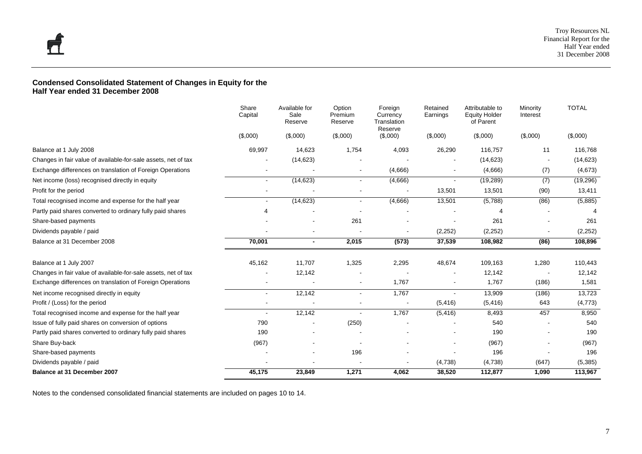#### **Condensed Consolidated Statement of Changes in Equity for the Half Year ended 31 December 2008**

|                                                                | Share<br>Capital | Available for<br>Sale<br>Reserve | Option<br>Premium<br>Reserve | Foreign<br>Currency<br>Translation<br>Reserve | Retained<br>Earnings | Attributable to<br><b>Equity Holder</b><br>of Parent | Minority<br>Interest | <b>TOTAL</b> |
|----------------------------------------------------------------|------------------|----------------------------------|------------------------------|-----------------------------------------------|----------------------|------------------------------------------------------|----------------------|--------------|
|                                                                | (\$,000)         | (\$,000)                         | (\$,000)                     | (\$,000)                                      | (\$,000)             | (\$,000)                                             | (\$,000)             | (\$,000)     |
| Balance at 1 July 2008                                         | 69,997           | 14,623                           | 1,754                        | 4,093                                         | 26,290               | 116,757                                              | 11                   | 116,768      |
| Changes in fair value of available-for-sale assets, net of tax |                  | (14, 623)                        |                              |                                               |                      | (14, 623)                                            |                      | (14, 623)    |
| Exchange differences on translation of Foreign Operations      |                  |                                  |                              | (4,666)                                       |                      | (4,666)                                              | (7)                  | (4,673)      |
| Net income (loss) recognised directly in equity                |                  | (14, 623)                        |                              | (4,666)                                       |                      | (19, 289)                                            | (7)                  | (19, 296)    |
| Profit for the period                                          |                  |                                  |                              |                                               | 13,501               | 13,501                                               | (90)                 | 13,411       |
| Total recognised income and expense for the half year          |                  | (14, 623)                        | $\sim$                       | (4,666)                                       | 13,501               | (5,788)                                              | (86)                 | (5,885)      |
| Partly paid shares converted to ordinary fully paid shares     |                  |                                  |                              |                                               |                      |                                                      |                      |              |
| Share-based payments                                           |                  |                                  | 261                          |                                               |                      | 261                                                  |                      | 261          |
| Dividends payable / paid                                       |                  |                                  |                              |                                               | (2, 252)             | (2, 252)                                             |                      | (2, 252)     |
| Balance at 31 December 2008                                    | 70,001           | $\blacksquare$                   | 2,015                        | (573)                                         | 37,539               | 108,982                                              | (86)                 | 108,896      |
| Balance at 1 July 2007                                         | 45,162           | 11,707                           | 1,325                        | 2,295                                         | 48,674               | 109,163                                              | 1,280                | 110,443      |
| Changes in fair value of available-for-sale assets, net of tax |                  | 12,142                           |                              |                                               |                      | 12,142                                               |                      | 12,142       |
| Exchange differences on translation of Foreign Operations      |                  |                                  |                              | 1,767                                         |                      | 1,767                                                | (186)                | 1,581        |
| Net income recognised directly in equity                       | $\sim$           | 12,142                           | $\blacksquare$               | 1,767                                         | $\blacksquare$       | 13,909                                               | (186)                | 13,723       |
| Profit / (Loss) for the period                                 |                  |                                  |                              | $\overline{\phantom{a}}$                      | (5, 416)             | (5, 416)                                             | 643                  | (4, 773)     |
| Total recognised income and expense for the half year          |                  | 12,142                           |                              | 1,767                                         | (5, 416)             | 8,493                                                | 457                  | 8,950        |
| Issue of fully paid shares on conversion of options            | 790              | $\blacksquare$                   | (250)                        |                                               |                      | 540                                                  |                      | 540          |
| Partly paid shares converted to ordinary fully paid shares     | 190              |                                  |                              |                                               |                      | 190                                                  |                      | 190          |
| Share Buy-back                                                 | (967)            |                                  |                              |                                               |                      | (967)                                                |                      | (967)        |
| Share-based payments                                           |                  |                                  | 196                          |                                               |                      | 196                                                  |                      | 196          |
| Dividends payable / paid                                       |                  | $\qquad \qquad \blacksquare$     |                              |                                               | (4,738)              | (4,738)                                              | (647)                | (5,385)      |
| Balance at 31 December 2007                                    | 45,175           | 23,849                           | 1,271                        | 4,062                                         | 38,520               | 112,877                                              | 1,090                | 113,967      |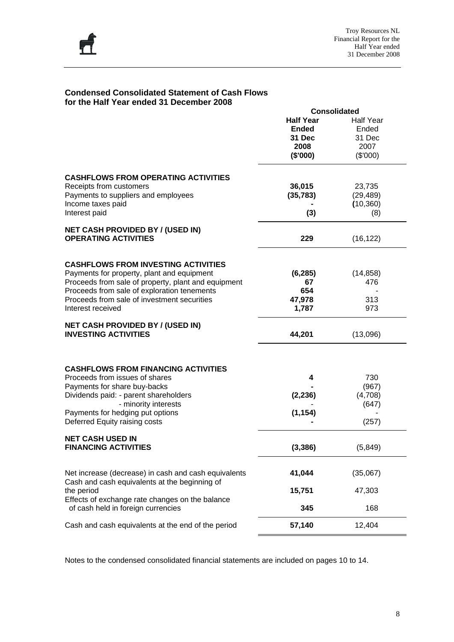

#### **Condensed Consolidated Statement of Cash Flows for the Half Year ended 31 December 2008**

|                                                                                                       | <b>Consolidated</b> |                  |
|-------------------------------------------------------------------------------------------------------|---------------------|------------------|
|                                                                                                       | <b>Half Year</b>    | <b>Half Year</b> |
|                                                                                                       | <b>Ended</b>        | Ended            |
|                                                                                                       | 31 Dec              | 31 Dec           |
|                                                                                                       | 2008                | 2007             |
|                                                                                                       |                     |                  |
|                                                                                                       | (\$'000)            | (\$'000)         |
| <b>CASHFLOWS FROM OPERATING ACTIVITIES</b>                                                            |                     |                  |
| Receipts from customers                                                                               | 36,015              | 23,735           |
| Payments to suppliers and employees                                                                   | (35, 783)           | (29, 489)        |
|                                                                                                       |                     |                  |
| Income taxes paid                                                                                     |                     | (10, 360)        |
| Interest paid                                                                                         | (3)                 | (8)              |
| <b>NET CASH PROVIDED BY / (USED IN)</b>                                                               |                     |                  |
| <b>OPERATING ACTIVITIES</b>                                                                           | 229                 | (16, 122)        |
|                                                                                                       |                     |                  |
| <b>CASHFLOWS FROM INVESTING ACTIVITIES</b>                                                            |                     |                  |
| Payments for property, plant and equipment                                                            | (6, 285)            | (14, 858)        |
| Proceeds from sale of property, plant and equipment                                                   | 67                  | 476              |
| Proceeds from sale of exploration tenements                                                           | 654                 |                  |
| Proceeds from sale of investment securities                                                           | 47,978              | 313              |
| Interest received                                                                                     | 1,787               | 973              |
| <b>NET CASH PROVIDED BY / (USED IN)</b>                                                               |                     |                  |
| <b>INVESTING ACTIVITIES</b>                                                                           | 44,201              | (13,096)         |
|                                                                                                       |                     |                  |
| <b>CASHFLOWS FROM FINANCING ACTIVITIES</b>                                                            |                     |                  |
| Proceeds from issues of shares                                                                        | 4                   | 730              |
| Payments for share buy-backs                                                                          |                     | (967)            |
| Dividends paid: - parent shareholders                                                                 | (2, 236)            | (4,708)          |
| - minority interests                                                                                  |                     | (647)            |
| Payments for hedging put options                                                                      | (1, 154)            |                  |
| Deferred Equity raising costs                                                                         |                     | (257)            |
| <b>NET CASH USED IN</b>                                                                               |                     |                  |
| FINANCING ACTIVITIES                                                                                  | (3, 386)            | (5, 849)         |
|                                                                                                       |                     |                  |
| Net increase (decrease) in cash and cash equivalents<br>Cash and cash equivalents at the beginning of | 41,044              | (35,067)         |
|                                                                                                       |                     | 47,303           |
| the period                                                                                            | 15,751              |                  |
| Effects of exchange rate changes on the balance<br>of cash held in foreign currencies                 | 345                 | 168              |
|                                                                                                       |                     |                  |
| Cash and cash equivalents at the end of the period                                                    | 57,140              | 12,404           |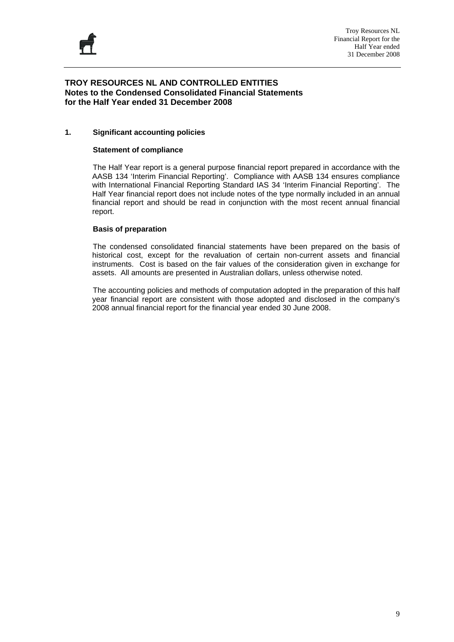

#### **TROY RESOURCES NL AND CONTROLLED ENTITIES Notes to the Condensed Consolidated Financial Statements for the Half Year ended 31 December 2008**

#### **1. Significant accounting policies**

#### **Statement of compliance**

The Half Year report is a general purpose financial report prepared in accordance with the AASB 134 'Interim Financial Reporting'. Compliance with AASB 134 ensures compliance with International Financial Reporting Standard IAS 34 'Interim Financial Reporting'. The Half Year financial report does not include notes of the type normally included in an annual financial report and should be read in conjunction with the most recent annual financial report.

#### **Basis of preparation**

 The condensed consolidated financial statements have been prepared on the basis of historical cost, except for the revaluation of certain non-current assets and financial instruments. Cost is based on the fair values of the consideration given in exchange for assets. All amounts are presented in Australian dollars, unless otherwise noted.

 The accounting policies and methods of computation adopted in the preparation of this half year financial report are consistent with those adopted and disclosed in the company's 2008 annual financial report for the financial year ended 30 June 2008.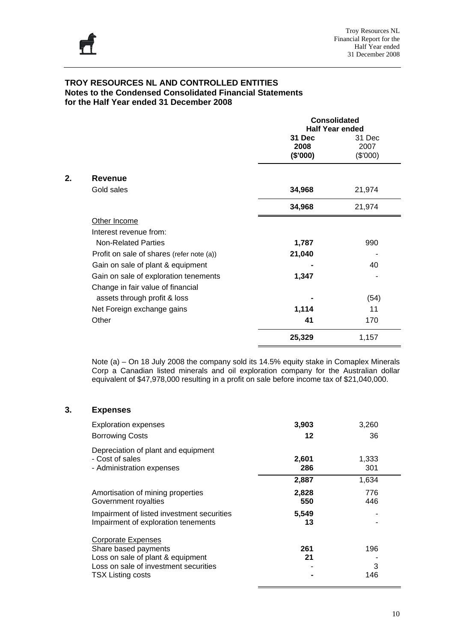

|    |                                           | <b>Consolidated</b><br><b>Half Year ended</b> |          |  |  |
|----|-------------------------------------------|-----------------------------------------------|----------|--|--|
|    |                                           | 31 Dec                                        | 31 Dec   |  |  |
|    |                                           | 2008                                          | 2007     |  |  |
|    |                                           | (\$'000)                                      | (\$'000) |  |  |
| 2. | <b>Revenue</b>                            |                                               |          |  |  |
|    | Gold sales                                | 34,968                                        | 21,974   |  |  |
|    | 34,968                                    | 21,974                                        |          |  |  |
|    | Other Income                              |                                               |          |  |  |
|    | Interest revenue from:                    |                                               |          |  |  |
|    | <b>Non-Related Parties</b>                | 1,787                                         | 990      |  |  |
|    | Profit on sale of shares (refer note (a)) | 21,040                                        |          |  |  |
|    | Gain on sale of plant & equipment         |                                               | 40       |  |  |
|    | Gain on sale of exploration tenements     | 1,347                                         |          |  |  |
|    | Change in fair value of financial         |                                               |          |  |  |
|    | assets through profit & loss              |                                               | (54)     |  |  |
|    | Net Foreign exchange gains                | 1,114                                         | 11       |  |  |
|    | Other                                     | 41                                            | 170      |  |  |
|    |                                           | 25,329                                        | 1,157    |  |  |

Note (a) – On 18 July 2008 the company sold its 14.5% equity stake in Comaplex Minerals Corp a Canadian listed minerals and oil exploration company for the Australian dollar equivalent of \$47,978,000 resulting in a profit on sale before income tax of \$21,040,000.

#### **3. Expenses**

| <b>Exploration expenses</b>                                                                                                                                 | 3,903        | 3,260           |
|-------------------------------------------------------------------------------------------------------------------------------------------------------------|--------------|-----------------|
| <b>Borrowing Costs</b>                                                                                                                                      | 12           | 36              |
| Depreciation of plant and equipment<br>- Cost of sales<br>- Administration expenses                                                                         | 2,601<br>286 | 1,333<br>301    |
|                                                                                                                                                             | 2,887        | 1,634           |
| Amortisation of mining properties<br>Government royalties                                                                                                   | 2,828<br>550 | 776<br>446      |
| Impairment of listed investment securities<br>Impairment of exploration tenements                                                                           | 5,549<br>13  |                 |
| <b>Corporate Expenses</b><br>Share based payments<br>Loss on sale of plant & equipment<br>Loss on sale of investment securities<br><b>TSX Listing costs</b> | 261<br>21    | 196<br>3<br>146 |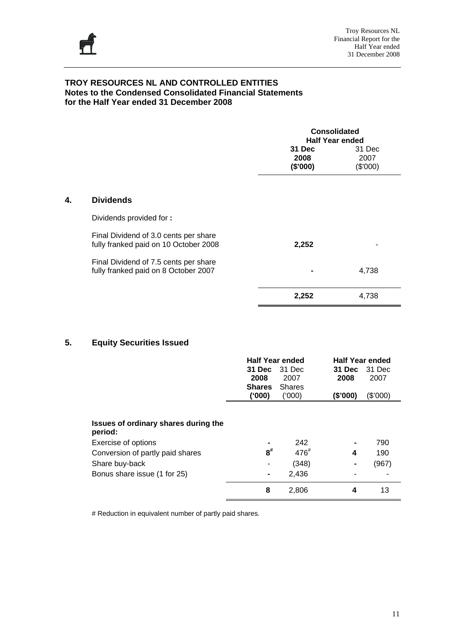

|    |                                                                                | <b>Consolidated</b><br><b>Half Year ended</b> |                            |  |  |
|----|--------------------------------------------------------------------------------|-----------------------------------------------|----------------------------|--|--|
|    |                                                                                | 31 Dec<br>2008<br>(\$'000)                    | 31 Dec<br>2007<br>(\$'000) |  |  |
| 4. | <b>Dividends</b>                                                               |                                               |                            |  |  |
|    | Dividends provided for:                                                        |                                               |                            |  |  |
|    | Final Dividend of 3.0 cents per share<br>fully franked paid on 10 October 2008 | 2,252                                         |                            |  |  |
|    | Final Dividend of 7.5 cents per share<br>fully franked paid on 8 October 2007  |                                               | 4,738                      |  |  |
|    |                                                                                | 2,252                                         | 4,738                      |  |  |

#### **5. Equity Securities Issued**

|                                                 | <b>Half Year ended</b><br>31 Dec<br>2008<br><b>Shares</b><br>(000) | 31 Dec<br>2007<br><b>Shares</b><br>(000) | <b>Half Year ended</b><br>31 Dec<br>2008<br>(\$'000) | 31 Dec<br>2007<br>(\$'000) |
|-------------------------------------------------|--------------------------------------------------------------------|------------------------------------------|------------------------------------------------------|----------------------------|
| Issues of ordinary shares during the<br>period: |                                                                    |                                          |                                                      |                            |
| Exercise of options                             |                                                                    | 242                                      | $\blacksquare$                                       | 790                        |
| Conversion of partly paid shares                | $\mathbf{8}^{\#}$                                                  | $476^{#}$                                | 4                                                    | 190                        |
| Share buy-back                                  | ۰                                                                  | (348)                                    | $\blacksquare$                                       | (967)                      |
| Bonus share issue (1 for 25)                    |                                                                    | 2,436                                    |                                                      |                            |
|                                                 | 8                                                                  | 2,806                                    | 4                                                    | 13                         |

# Reduction in equivalent number of partly paid shares.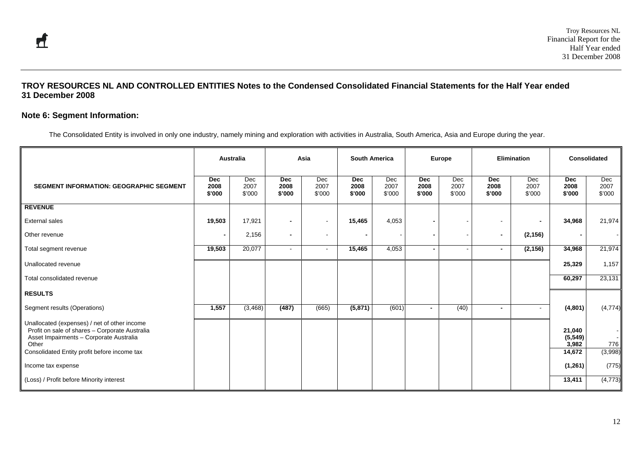#### **Note 6: Segment Information:**

The Consolidated Entity is involved in only one industry, namely mining and exploration with activities in Australia, South America, Asia and Europe during the year.

|                                                                                                                                                                                                    |                              | Australia             |                       | Asia                  |                              | <b>South America</b>  |                              | <b>Europe</b>            |                              | <b>Elimination</b>       | <b>Consolidated</b>                   |                       |
|----------------------------------------------------------------------------------------------------------------------------------------------------------------------------------------------------|------------------------------|-----------------------|-----------------------|-----------------------|------------------------------|-----------------------|------------------------------|--------------------------|------------------------------|--------------------------|---------------------------------------|-----------------------|
| <b>SEGMENT INFORMATION: GEOGRAPHIC SEGMENT</b>                                                                                                                                                     | <b>Dec</b><br>2008<br>\$'000 | Dec<br>2007<br>\$'000 | Dec<br>2008<br>\$'000 | Dec<br>2007<br>\$'000 | <b>Dec</b><br>2008<br>\$'000 | Dec<br>2007<br>\$'000 | <b>Dec</b><br>2008<br>\$'000 | Dec<br>2007<br>\$'000    | <b>Dec</b><br>2008<br>\$'000 | Dec<br>2007<br>\$'000    | <b>Dec</b><br>2008<br>\$'000          | Dec<br>2007<br>\$'000 |
| <b>REVENUE</b>                                                                                                                                                                                     |                              |                       |                       |                       |                              |                       |                              |                          |                              |                          |                                       |                       |
| <b>External sales</b>                                                                                                                                                                              | 19,503                       | 17,921                |                       | $\sim$                | 15,465                       | 4,053                 |                              |                          | $\sim$                       | $\blacksquare$           | 34,968                                | 21,974                |
| Other revenue                                                                                                                                                                                      | $\blacksquare$               | 2,156                 | $\blacksquare$        | $\sim$                | $\blacksquare$               |                       |                              |                          | $\sim$                       | (2, 156)                 |                                       |                       |
| Total segment revenue                                                                                                                                                                              | 19,503                       | 20,077                | $\blacksquare$        | $\sim$                | 15,465                       | 4,053                 | $\blacksquare$               | $\overline{\phantom{a}}$ | $\blacksquare$               | (2, 156)                 | 34,968                                | 21,974                |
| Unallocated revenue                                                                                                                                                                                |                              |                       |                       |                       |                              |                       |                              |                          |                              |                          | 25,329                                | 1,157                 |
| Total consolidated revenue                                                                                                                                                                         |                              |                       |                       |                       |                              |                       |                              |                          |                              |                          | 60,297                                | 23,131                |
| <b>RESULTS</b>                                                                                                                                                                                     |                              |                       |                       |                       |                              |                       |                              |                          |                              |                          |                                       |                       |
| Segment results (Operations)                                                                                                                                                                       | 1,557                        | (3, 468)              | (487)                 | (665)                 | (5, 871)                     | (601)                 |                              | (40)                     | $\blacksquare$               | $\overline{\phantom{a}}$ | (4,801)                               | (4, 774)              |
| Unallocated (expenses) / net of other income<br>Profit on sale of shares - Corporate Australia<br>Asset Impairments - Corporate Australia<br>Other<br>Consolidated Entity profit before income tax |                              |                       |                       |                       |                              |                       |                              |                          |                              |                          | 21,040<br>(5, 549)<br>3,982<br>14,672 | 776<br>(3,998)        |
| Income tax expense                                                                                                                                                                                 |                              |                       |                       |                       |                              |                       |                              |                          |                              |                          | (1, 261)                              | (775)                 |
| (Loss) / Profit before Minority interest                                                                                                                                                           |                              |                       |                       |                       |                              |                       |                              |                          |                              |                          | 13,411                                | (4, 773)              |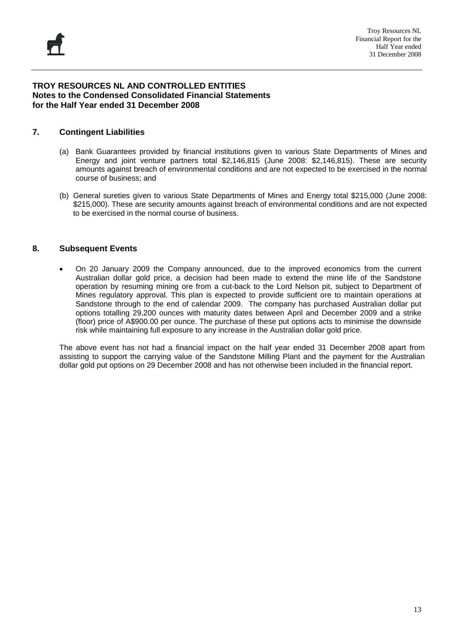#### **7. Contingent Liabilities**

- (a) Bank Guarantees provided by financial institutions given to various State Departments of Mines and Energy and joint venture partners total \$2,146,815 (June 2008: \$2,146,815). These are security amounts against breach of environmental conditions and are not expected to be exercised in the normal course of business; and
- (b) General sureties given to various State Departments of Mines and Energy total \$215,000 (June 2008: \$215,000). These are security amounts against breach of environmental conditions and are not expected to be exercised in the normal course of business.

#### **8. Subsequent Events**

• On 20 January 2009 the Company announced, due to the improved economics from the current Australian dollar gold price, a decision had been made to extend the mine life of the Sandstone operation by resuming mining ore from a cut-back to the Lord Nelson pit, subject to Department of Mines regulatory approval. This plan is expected to provide sufficient ore to maintain operations at Sandstone through to the end of calendar 2009. The company has purchased Australian dollar put options totalling 29,200 ounces with maturity dates between April and December 2009 and a strike (floor) price of A\$900.00 per ounce. The purchase of these put options acts to minimise the downside risk while maintaining full exposure to any increase in the Australian dollar gold price.

The above event has not had a financial impact on the half year ended 31 December 2008 apart from assisting to support the carrying value of the Sandstone Milling Plant and the payment for the Australian dollar gold put options on 29 December 2008 and has not otherwise been included in the financial report.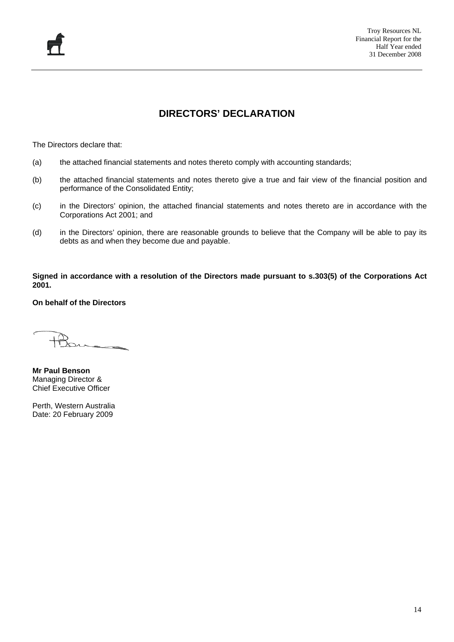#### **DIRECTORS' DECLARATION**

The Directors declare that:

- (a) the attached financial statements and notes thereto comply with accounting standards;
- (b) the attached financial statements and notes thereto give a true and fair view of the financial position and performance of the Consolidated Entity;
- (c) in the Directors' opinion, the attached financial statements and notes thereto are in accordance with the Corporations Act 2001; and
- (d) in the Directors' opinion, there are reasonable grounds to believe that the Company will be able to pay its debts as and when they become due and payable.

**Signed in accordance with a resolution of the Directors made pursuant to s.303(5) of the Corporations Act 2001.** 

**On behalf of the Directors** 

**Mr Paul Benson**  Managing Director & Chief Executive Officer

Perth, Western Australia Date: 20 February 2009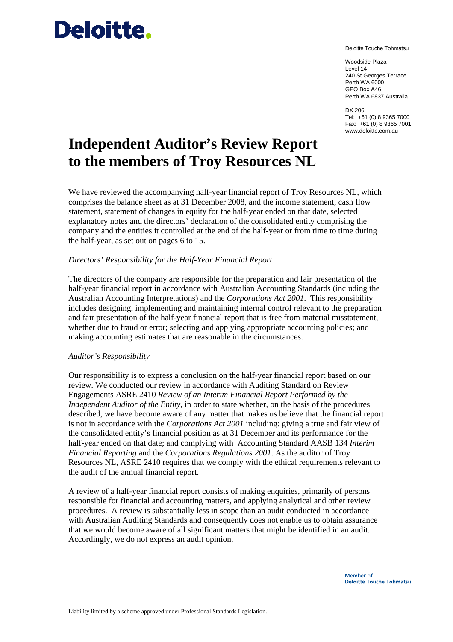## **Deloitte**.

Deloitte Touche Tohmatsu

Woodside Plaza Level 14 240 St Georges Terrace Perth WA 6000 GPO Box A46 Perth WA 6837 Australia

DX 206 Tel: +61 (0) 8 9365 7000 Fax: +61 (0) 8 9365 7001 www.deloitte.com.au

## **Independent Auditor's Review Report to the members of Troy Resources NL**

We have reviewed the accompanying half-year financial report of Troy Resources NL, which comprises the balance sheet as at 31 December 2008, and the income statement, cash flow statement, statement of changes in equity for the half-year ended on that date, selected explanatory notes and the directors' declaration of the consolidated entity comprising the company and the entities it controlled at the end of the half-year or from time to time during the half-year, as set out on pages 6 to 15.

#### *Directors' Responsibility for the Half-Year Financial Report*

The directors of the company are responsible for the preparation and fair presentation of the half-year financial report in accordance with Australian Accounting Standards (including the Australian Accounting Interpretations) and the *Corporations Act 2001*. This responsibility includes designing, implementing and maintaining internal control relevant to the preparation and fair presentation of the half-year financial report that is free from material misstatement, whether due to fraud or error; selecting and applying appropriate accounting policies; and making accounting estimates that are reasonable in the circumstances.

#### *Auditor's Responsibility*

Our responsibility is to express a conclusion on the half-year financial report based on our review. We conducted our review in accordance with Auditing Standard on Review Engagements ASRE 2410 *Review of an Interim Financial Report Performed by the Independent Auditor of the Entity*, in order to state whether, on the basis of the procedures described, we have become aware of any matter that makes us believe that the financial report is not in accordance with the *Corporations Act 2001* including: giving a true and fair view of the consolidated entity's financial position as at 31 December and its performance for the half-year ended on that date; and complying with Accounting Standard AASB 134 *Interim Financial Reporting* and the *Corporations Regulations 2001*. As the auditor of Troy Resources NL, ASRE 2410 requires that we comply with the ethical requirements relevant to the audit of the annual financial report.

A review of a half-year financial report consists of making enquiries, primarily of persons responsible for financial and accounting matters, and applying analytical and other review procedures. A review is substantially less in scope than an audit conducted in accordance with Australian Auditing Standards and consequently does not enable us to obtain assurance that we would become aware of all significant matters that might be identified in an audit. Accordingly, we do not express an audit opinion.